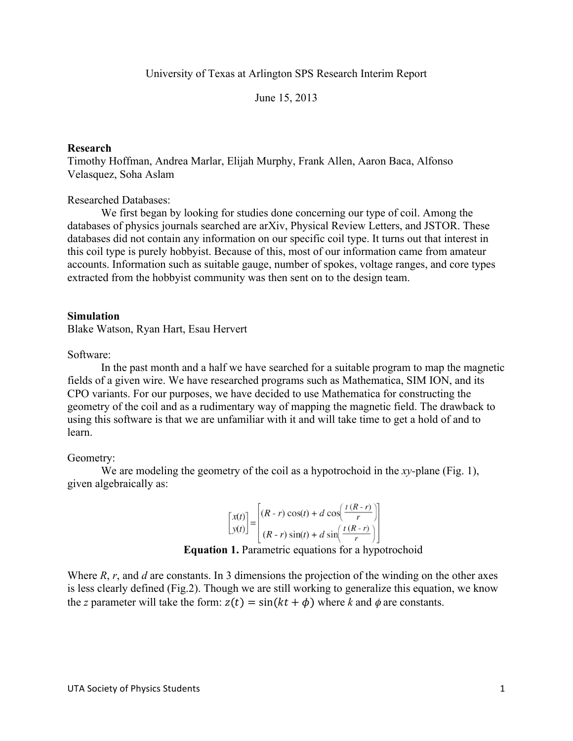University of Texas at Arlington SPS Research Interim Report

June 15, 2013

## **Research**

Timothy Hoffman, Andrea Marlar, Elijah Murphy, Frank Allen, Aaron Baca, Alfonso Velasquez, Soha Aslam

Researched Databases:

We first began by looking for studies done concerning our type of coil. Among the databases of physics journals searched are arXiv, Physical Review Letters, and JSTOR. These databases did not contain any information on our specific coil type. It turns out that interest in this coil type is purely hobbyist. Because of this, most of our information came from amateur accounts. Information such as suitable gauge, number of spokes, voltage ranges, and core types extracted from the hobbyist community was then sent on to the design team.

## **Simulation**

Blake Watson, Ryan Hart, Esau Hervert

Software:

In the past month and a half we have searched for a suitable program to map the magnetic fields of a given wire. We have researched programs such as Mathematica, SIM ION, and its CPO variants. For our purposes, we have decided to use Mathematica for constructing the geometry of the coil and as a rudimentary way of mapping the magnetic field. The drawback to using this software is that we are unfamiliar with it and will take time to get a hold of and to learn.

## Geometry:

We are modeling the geometry of the coil as a hypotrochoid in the *xy-*plane (Fig. 1), given algebraically as:

$$
\begin{bmatrix} x(t) \\ y(t) \end{bmatrix} = \begin{bmatrix} (R-r)\cos(t) + d\cos\left(\frac{t(R-r)}{r}\right) \\ (R-r)\sin(t) + d\sin\left(\frac{t(R-r)}{r}\right) \end{bmatrix}
$$

**Equation 1.** Parametric equations for a hypotrochoid

Where *R*, *r*, and *d* are constants. In 3 dimensions the projection of the winding on the other axes is less clearly defined (Fig.2). Though we are still working to generalize this equation, we know the *z* parameter will take the form:  $z(t) = \sin(kt + \phi)$  where *k* and  $\phi$  are constants.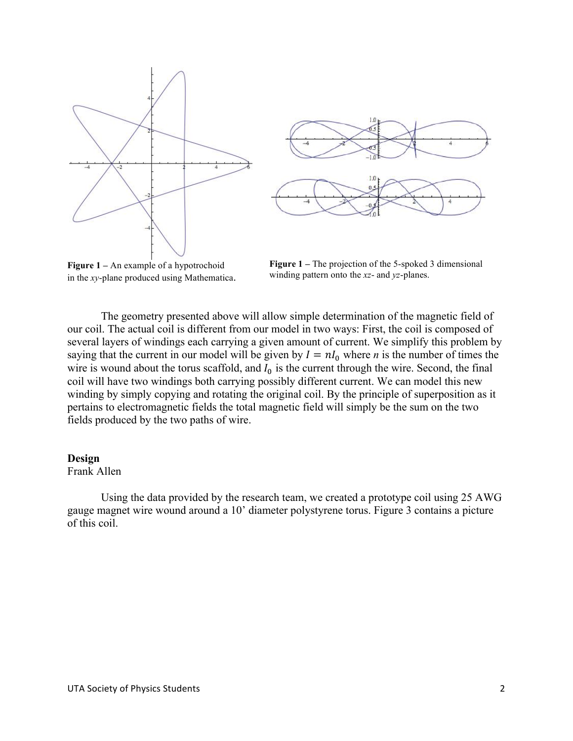



**Figure 1 –** An example of a hypotrochoid in the *xy*-plane produced using Mathematica.

**Figure 1** – The projection of the 5-spoked 3 dimensional winding pattern onto the *xz*- and *yz*-planes.

The geometry presented above will allow simple determination of the magnetic field of our coil. The actual coil is different from our model in two ways: First, the coil is composed of several layers of windings each carrying a given amount of current. We simplify this problem by saying that the current in our model will be given by  $I = nI_0$  where *n* is the number of times the wire is wound about the torus scaffold, and  $I_0$  is the current through the wire. Second, the final coil will have two windings both carrying possibly different current. We can model this new winding by simply copying and rotating the original coil. By the principle of superposition as it pertains to electromagnetic fields the total magnetic field will simply be the sum on the two fields produced by the two paths of wire.

## **Design**

Frank Allen

Using the data provided by the research team, we created a prototype coil using 25 AWG gauge magnet wire wound around a 10' diameter polystyrene torus. Figure 3 contains a picture of this coil.